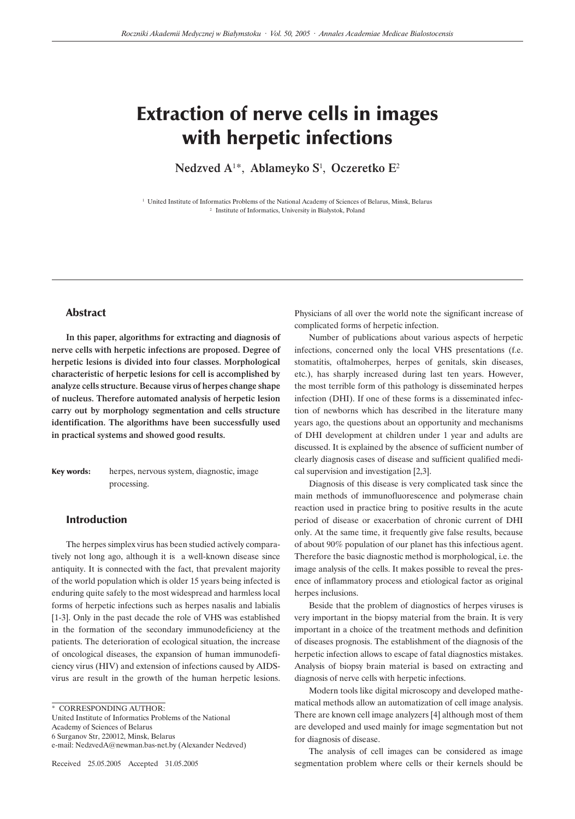# Extraction of nerve cells in images with herpetic infections

Nedzved A<sup>1\*</sup>, Ablameyko S<sup>1</sup>, Oczeretko E<sup>2</sup>

1 United Institute of Informatics Problems of the National Academy of Sciences of Belarus, Minsk, Belarus 2 Institute of Informatics, University in Białystok, Poland

# Abstract

In this paper, algorithms for extracting and diagnosis of nerve cells with herpetic infections are proposed. Degree of herpetic lesions is divided into four classes. Morphological characteristic of herpetic lesions for cell is accomplished by analyze cells structure. Because virus of herpes change shape of nucleus. Therefore automated analysis of herpetic lesion carry out by morphology segmentation and cells structure identification. The algorithms have been successfully used in practical systems and showed good results.

Key words: herpes, nervous system, diagnostic, image processing.

# Introduction

The herpes simplex virus has been studied actively comparatively not long ago, although it is a well-known disease since antiquity. It is connected with the fact, that prevalent majority of the world population which is older 15 years being infected is enduring quite safely to the most widespread and harmless local forms of herpetic infections such as herpes nasalis and labialis [1-3]. Only in the past decade the role of VHS was established in the formation of the secondary immunodeficiency at the patients. The deterioration of ecological situation, the increase of oncological diseases, the expansion of human immunodeficiency virus (HIV) and extension of infections caused by AIDSvirus are result in the growth of the human herpetic lesions.

United Institute of Informatics Problems of the National Academy of Sciences of Belarus

6 Surganov Str, 220012, Minsk, Belarus

Received 25.05.2005 Accepted 31.05.2005

Physicians of all over the world note the significant increase of complicated forms of herpetic infection.

Number of publications about various aspects of herpetic infections, concerned only the local VHS presentations (f.e. stomatitis, oftalmoherpes, herpes of genitals, skin diseases, etc.), has sharply increased during last ten years. However, the most terrible form of this pathology is disseminated herpes infection (DHI). If one of these forms is a disseminated infection of newborns which has described in the literature many years ago, the questions about an opportunity and mechanisms of DHI development at children under 1 year and adults are discussed. It is explained by the absence of sufficient number of clearly diagnosis cases of disease and sufficient qualified medical supervision and investigation [2,3].

Diagnosis of this disease is very complicated task since the main methods of immunofluorescence and polymerase chain reaction used in practice bring to positive results in the acute period of disease or exacerbation of chronic current of DHI only. At the same time, it frequently give false results, because of about 90% population of our planet has this infectious agent. Therefore the basic diagnostic method is morphological, i.e. the image analysis of the cells. It makes possible to reveal the presence of inflammatory process and etiological factor as original herpes inclusions.

Beside that the problem of diagnostics of herpes viruses is very important in the biopsy material from the brain. It is very important in a choice of the treatment methods and definition of diseases prognosis. The establishment of the diagnosis of the herpetic infection allows to escape of fatal diagnostics mistakes. Analysis of biopsy brain material is based on extracting and diagnosis of nerve cells with herpetic infections.

Modern tools like digital microscopy and developed mathematical methods allow an automatization of cell image analysis. There are known cell image analyzers [4] although most of them are developed and used mainly for image segmentation but not for diagnosis of disease.

The analysis of cell images can be considered as image segmentation problem where cells or their kernels should be

<sup>\*</sup> CORRESPONDING AUTHOR:

e-mail: NedzvedA@newman.bas-net.by (Alexander Nedzved)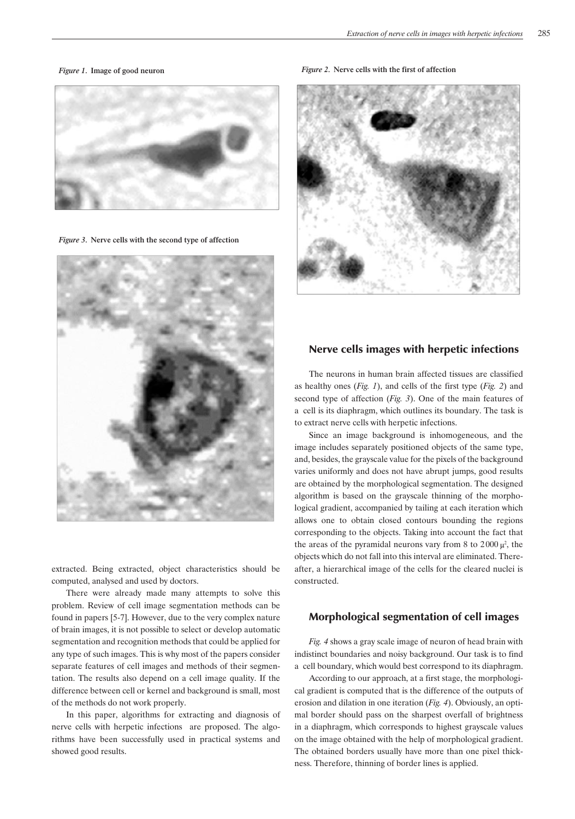

*Figure 3*. Nerve cells with the second type of affection



extracted. Being extracted, object characteristics should be computed, analysed and used by doctors.

There were already made many attempts to solve this problem. Review of cell image segmentation methods can be found in papers [5-7]. However, due to the very complex nature of brain images, it is not possible to select or develop automatic segmentation and recognition methods that could be applied for any type of such images. This is why most of the papers consider separate features of cell images and methods of their segmentation. The results also depend on a cell image quality. If the difference between cell or kernel and background is small, most of the methods do not work properly.

In this paper, algorithms for extracting and diagnosis of nerve cells with herpetic infections are proposed. The algorithms have been successfully used in practical systems and showed good results.

*Figure 1*. Image of good neuron *Figure 2*. Nerve cells with the first of affection



# Nerve cells images with herpetic infections

The neurons in human brain affected tissues are classified as healthy ones (*Fig. 1*), and cells of the first type (*Fig. 2*) and second type of affection (*Fig. 3*). One of the main features of a cell is its diaphragm, which outlines its boundary. The task is to extract nerve cells with herpetic infections.

Since an image background is inhomogeneous, and the image includes separately positioned objects of the same type, and, besides, the grayscale value for the pixels of the background varies uniformly and does not have abrupt jumps, good results are obtained by the morphological segmentation. The designed algorithm is based on the grayscale thinning of the morphological gradient, accompanied by tailing at each iteration which allows one to obtain closed contours bounding the regions corresponding to the objects. Taking into account the fact that the areas of the pyramidal neurons vary from 8 to  $2000 \mu^2$ , the objects which do not fall into this interval are eliminated. Thereafter, a hierarchical image of the cells for the cleared nuclei is constructed.

# Morphological segmentation of cell images

*Fig. 4* shows a gray scale image of neuron of head brain with indistinct boundaries and noisy background. Our task is to find a cell boundary, which would best correspond to its diaphragm.

According to our approach, at a first stage, the morphological gradient is computed that is the difference of the outputs of erosion and dilation in one iteration (*Fig. 4*). Obviously, an optimal border should pass on the sharpest overfall of brightness in a diaphragm, which corresponds to highest grayscale values on the image obtained with the help of morphological gradient. The obtained borders usually have more than one pixel thickness. Therefore, thinning of border lines is applied.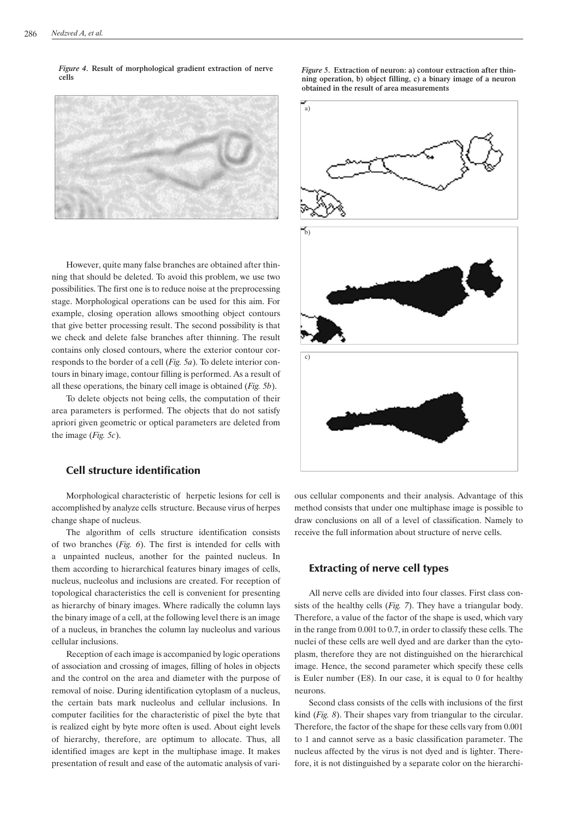*Figure 4*. Result of morphological gradient extraction of nerve cells



However, quite many false branches are obtained after thinning that should be deleted. To avoid this problem, we use two possibilities. The first one is to reduce noise at the preprocessing stage. Morphological operations can be used for this aim. For example, closing operation allows smoothing object contours that give better processing result. The second possibility is that we check and delete false branches after thinning. The result contains only closed contours, where the exterior contour corresponds to the border of a cell (*Fig. 5a*). To delete interior contours in binary image, contour filling is performed. As a result of all these operations, the binary cell image is obtained (*Fig. 5b*).

To delete objects not being cells, the computation of their area parameters is performed. The objects that do not satisfy apriori given geometric or optical parameters are deleted from the image (*Fig. 5c*).

# Cell structure identification

Morphological characteristic of herpetic lesions for cell is accomplished by analyze cells structure. Because virus of herpes change shape of nucleus.

The algorithm of cells structure identification consists of two branches (*Fig. 6*). The first is intended for cells with a unpainted nucleus, another for the painted nucleus. In them according to hierarchical features binary images of cells, nucleus, nucleolus and inclusions are created. For reception of topological characteristics the cell is convenient for presenting as hierarchy of binary images. Where radically the column lays the binary image of a cell, at the following level there is an image of a nucleus, in branches the column lay nucleolus and various cellular inclusions.

Reception of each image is accompanied by logic operations of association and crossing of images, filling of holes in objects and the control on the area and diameter with the purpose of removal of noise. During identification cytoplasm of a nucleus, the certain bats mark nucleolus and cellular inclusions. In computer facilities for the characteristic of pixel the byte that is realized eight by byte more often is used. About eight levels of hierarchy, therefore, are optimum to allocate. Thus, all identified images are kept in the multiphase image. It makes presentation of result and ease of the automatic analysis of vari*Figure 5*. Extraction of neuron: a) contour extraction after thinning operation, b) object filling, c) a binary image of a neuron obtained in the result of area measurements



ous cellular components and their analysis. Advantage of this method consists that under one multiphase image is possible to draw conclusions on all of a level of classification. Namely to receive the full information about structure of nerve cells.

# Extracting of nerve cell types

All nerve cells are divided into four classes. First class consists of the healthy cells (*Fig. 7*). They have a triangular body. Therefore, a value of the factor of the shape is used, which vary in the range from 0.001 to 0.7, in order to classify these cells. The nuclei of these cells are well dyed and are darker than the cytoplasm, therefore they are not distinguished on the hierarchical image. Hence, the second parameter which specify these cells is Euler number (E8). In our case, it is equal to 0 for healthy neurons.

Second class consists of the cells with inclusions of the first kind (*Fig. 8*). Their shapes vary from triangular to the circular. Therefore, the factor of the shape for these cells vary from 0.001 to 1 and cannot serve as a basic classification parameter. The nucleus affected by the virus is not dyed and is lighter. Therefore, it is not distinguished by a separate color on the hierarchi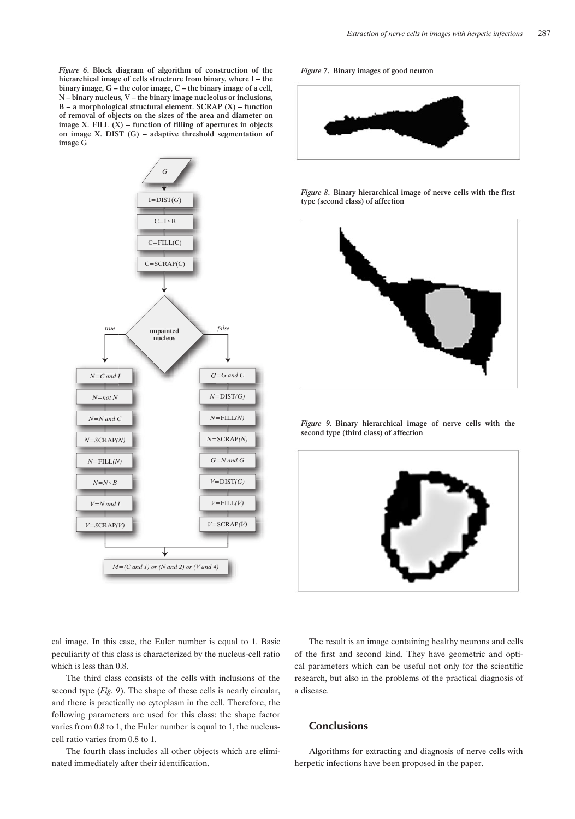*Figure 6*. Block diagram of algorithm of construction of the hierarchical image of cells structrure from binary, where I – the binary image, G – the color image, C – the binary image of a cell, N – binary nucleus, V – the binary image nucleolus or inclusions,  $B - a$  morphological structural element. SCRAP  $(X)$  – function of removal of objects on the sizes of the area and diameter on image X. FILL  $(X)$  – function of filling of apertures in objects on image X. DIST (G) – adaptive threshold segmentation of image G



*Figure 7*. Binary images of good neuron



*Figure 8*. Binary hierarchical image of nerve cells with the first type (second class) of affection



*Figure 9*. Binary hierarchical image of nerve cells with the second type (third class) of affection



cal image. In this case, the Euler number is equal to 1. Basic peculiarity of this class is characterized by the nucleus-cell ratio which is less than 0.8.

The third class consists of the cells with inclusions of the second type (*Fig. 9*). The shape of these cells is nearly circular, and there is practically no cytoplasm in the cell. Therefore, the following parameters are used for this class: the shape factor varies from 0.8 to 1, the Euler number is equal to 1, the nucleuscell ratio varies from 0.8 to 1.

The fourth class includes all other objects which are eliminated immediately after their identification.

The result is an image containing healthy neurons and cells of the first and second kind. They have geometric and optical parameters which can be useful not only for the scientific research, but also in the problems of the practical diagnosis of a disease.

# **Conclusions**

Algorithms for extracting and diagnosis of nerve cells with herpetic infections have been proposed in the paper.